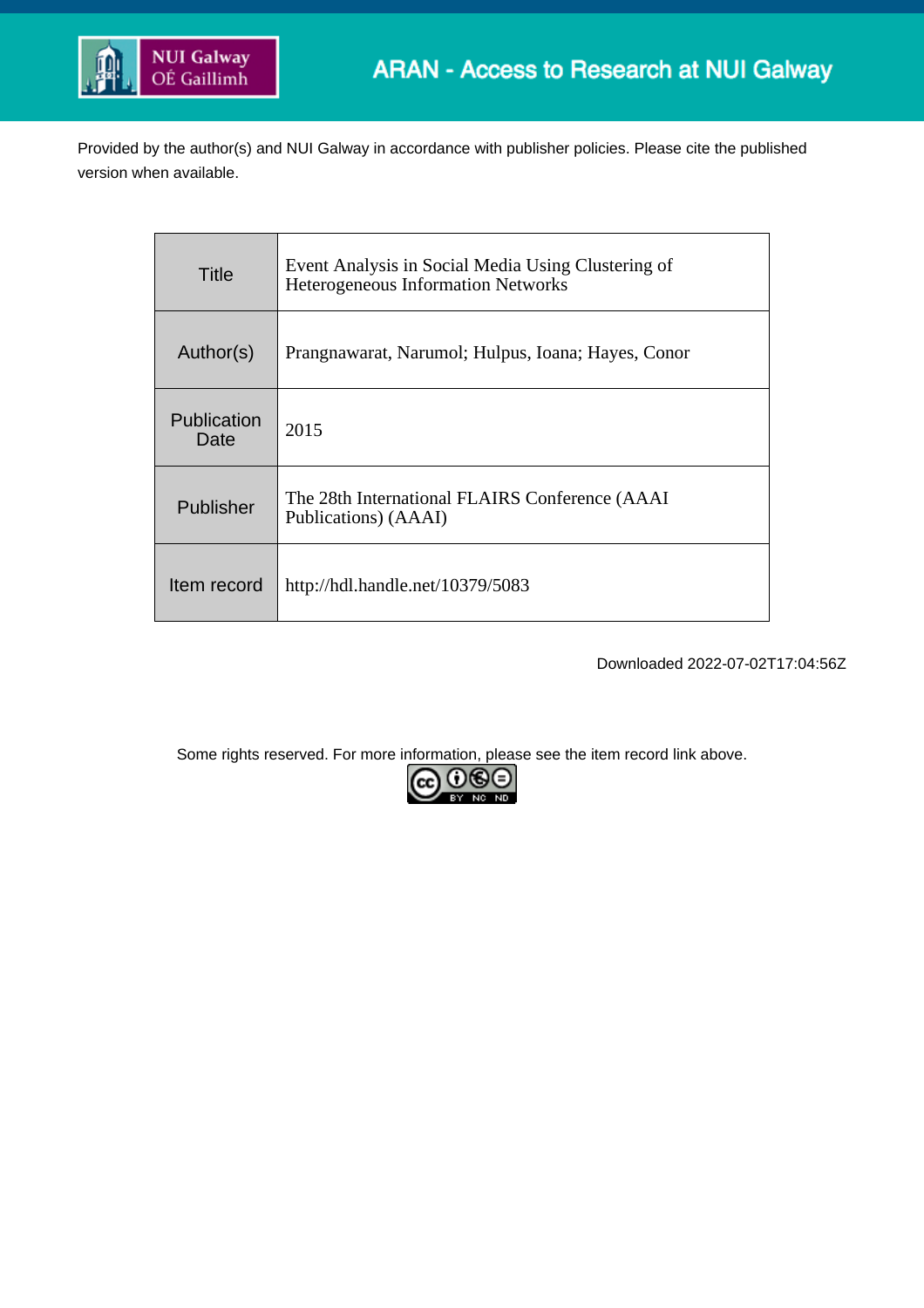

Provided by the author(s) and NUI Galway in accordance with publisher policies. Please cite the published version when available.

| Title                      | Event Analysis in Social Media Using Clustering of<br><b>Heterogeneous Information Networks</b> |  |  |
|----------------------------|-------------------------------------------------------------------------------------------------|--|--|
| Author(s)                  | Prangnawarat, Narumol; Hulpus, Ioana; Hayes, Conor                                              |  |  |
| <b>Publication</b><br>Date | 2015                                                                                            |  |  |
| Publisher                  | The 28th International FLAIRS Conference (AAAI)<br>Publications) (AAAI)                         |  |  |
| Item record                | http://hdl.handle.net/10379/5083                                                                |  |  |

Downloaded 2022-07-02T17:04:56Z

Some rights reserved. For more information, please see the item record link above.

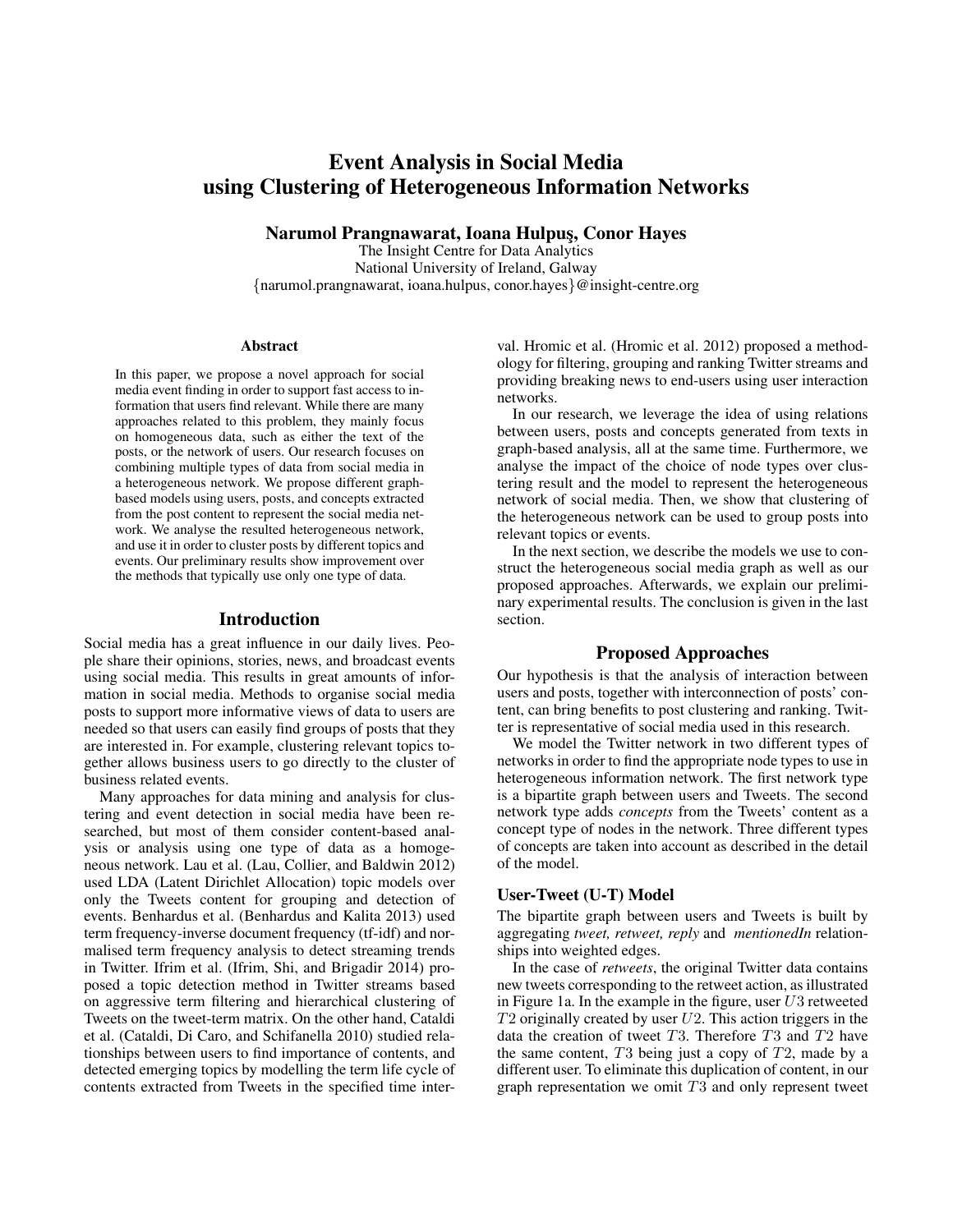# Event Analysis in Social Media using Clustering of Heterogeneous Information Networks

Narumol Prangnawarat, Ioana Hulpus¸, Conor Hayes

The Insight Centre for Data Analytics National University of Ireland, Galway {narumol.prangnawarat, ioana.hulpus, conor.hayes}@insight-centre.org

#### Abstract

In this paper, we propose a novel approach for social media event finding in order to support fast access to information that users find relevant. While there are many approaches related to this problem, they mainly focus on homogeneous data, such as either the text of the posts, or the network of users. Our research focuses on combining multiple types of data from social media in a heterogeneous network. We propose different graphbased models using users, posts, and concepts extracted from the post content to represent the social media network. We analyse the resulted heterogeneous network, and use it in order to cluster posts by different topics and events. Our preliminary results show improvement over the methods that typically use only one type of data.

## Introduction

Social media has a great influence in our daily lives. People share their opinions, stories, news, and broadcast events using social media. This results in great amounts of information in social media. Methods to organise social media posts to support more informative views of data to users are needed so that users can easily find groups of posts that they are interested in. For example, clustering relevant topics together allows business users to go directly to the cluster of business related events.

Many approaches for data mining and analysis for clustering and event detection in social media have been researched, but most of them consider content-based analysis or analysis using one type of data as a homogeneous network. Lau et al. (Lau, Collier, and Baldwin 2012) used LDA (Latent Dirichlet Allocation) topic models over only the Tweets content for grouping and detection of events. Benhardus et al. (Benhardus and Kalita 2013) used term frequency-inverse document frequency (tf-idf) and normalised term frequency analysis to detect streaming trends in Twitter. Ifrim et al. (Ifrim, Shi, and Brigadir 2014) proposed a topic detection method in Twitter streams based on aggressive term filtering and hierarchical clustering of Tweets on the tweet-term matrix. On the other hand, Cataldi et al. (Cataldi, Di Caro, and Schifanella 2010) studied relationships between users to find importance of contents, and detected emerging topics by modelling the term life cycle of contents extracted from Tweets in the specified time inter-

val. Hromic et al. (Hromic et al. 2012) proposed a methodology for filtering, grouping and ranking Twitter streams and providing breaking news to end-users using user interaction networks.

In our research, we leverage the idea of using relations between users, posts and concepts generated from texts in graph-based analysis, all at the same time. Furthermore, we analyse the impact of the choice of node types over clustering result and the model to represent the heterogeneous network of social media. Then, we show that clustering of the heterogeneous network can be used to group posts into relevant topics or events.

In the next section, we describe the models we use to construct the heterogeneous social media graph as well as our proposed approaches. Afterwards, we explain our preliminary experimental results. The conclusion is given in the last section.

## Proposed Approaches

Our hypothesis is that the analysis of interaction between users and posts, together with interconnection of posts' content, can bring benefits to post clustering and ranking. Twitter is representative of social media used in this research.

We model the Twitter network in two different types of networks in order to find the appropriate node types to use in heterogeneous information network. The first network type is a bipartite graph between users and Tweets. The second network type adds *concepts* from the Tweets' content as a concept type of nodes in the network. Three different types of concepts are taken into account as described in the detail of the model.

#### User-Tweet (U-T) Model

The bipartite graph between users and Tweets is built by aggregating *tweet, retweet, reply* and *mentionedIn* relationships into weighted edges.

In the case of *retweets*, the original Twitter data contains new tweets corresponding to the retweet action, as illustrated in Figure 1a. In the example in the figure, user  $U3$  retweeted  $T2$  originally created by user  $U2$ . This action triggers in the data the creation of tweet  $T3$ . Therefore  $T3$  and  $T2$  have the same content,  $T3$  being just a copy of  $T2$ , made by a different user. To eliminate this duplication of content, in our graph representation we omit  $T3$  and only represent tweet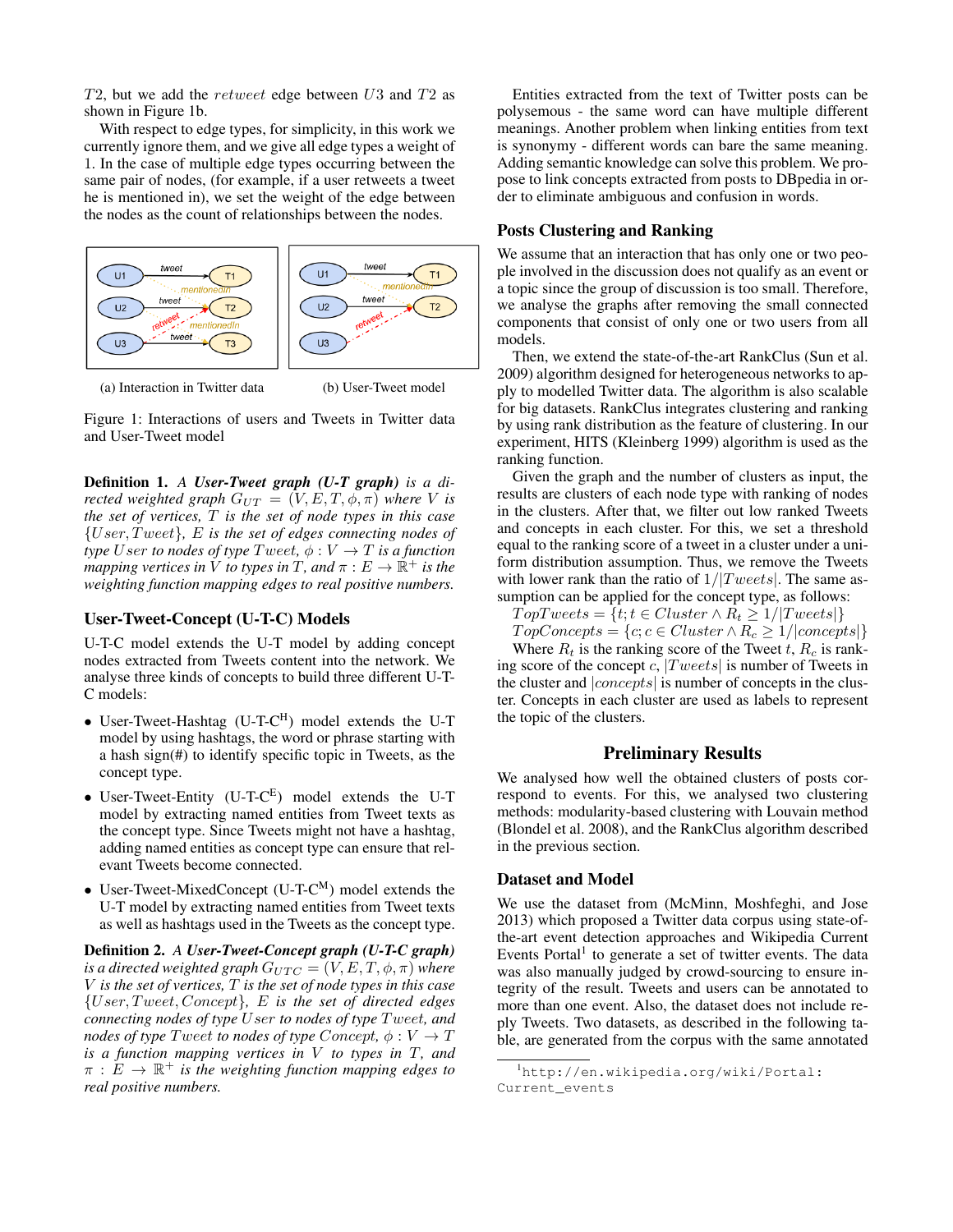T2, but we add the retweet edge between U3 and T2 as shown in Figure 1b.

With respect to edge types, for simplicity, in this work we currently ignore them, and we give all edge types a weight of 1. In the case of multiple edge types occurring between the same pair of nodes, (for example, if a user retweets a tweet he is mentioned in), we set the weight of the edge between the nodes as the count of relationships between the nodes.





Figure 1: Interactions of users and Tweets in Twitter data and User-Tweet model

Definition 1. *A User-Tweet graph (U-T graph) is a directed weighted graph*  $G_{UT} = (V, E, T, \phi, \pi)$  *where* V *is the set of vertices,* T *is the set of node types in this case* {User, T weet}*,* E *is the set of edges connecting nodes of type* User *to nodes of type*  $T$ *weet,*  $\phi: V \to T$  *is a function mapping vertices in*  $\check{V}$  *to types in*  $T$ *, and*  $\pi : E \to \check{\mathbb{R}}^+$  *is the weighting function mapping edges to real positive numbers.*

## User-Tweet-Concept (U-T-C) Models

U-T-C model extends the U-T model by adding concept nodes extracted from Tweets content into the network. We analyse three kinds of concepts to build three different U-T-C models:

- User-Tweet-Hashtag  $(U-T-C<sup>H</sup>)$  model extends the U-T model by using hashtags, the word or phrase starting with a hash sign(#) to identify specific topic in Tweets, as the concept type.
- User-Tweet-Entity (U-T- $C^E$ ) model extends the U-T model by extracting named entities from Tweet texts as the concept type. Since Tweets might not have a hashtag, adding named entities as concept type can ensure that relevant Tweets become connected.
- User-Tweet-MixedConcept (U-T- $C^{M}$ ) model extends the U-T model by extracting named entities from Tweet texts as well as hashtags used in the Tweets as the concept type.

Definition 2. *A User-Tweet-Concept graph (U-T-C graph) is a directed weighted graph*  $G_{UTC} = (V, E, T, \phi, \pi)$  *where* V *is the set of vertices,* T *is the set of node types in this case* {User, T weet, Concept}*,* E *is the set of directed edges connecting nodes of type* User *to nodes of type* T weet*, and nodes of type*  $T$ *weet to nodes of type*  $Concept, \phi: V \rightarrow T$ *is a function mapping vertices in* V *to types in* T*, and*  $\pi : E \to \mathbb{R}^+$  *is the weighting function mapping edges to real positive numbers.*

Entities extracted from the text of Twitter posts can be polysemous - the same word can have multiple different meanings. Another problem when linking entities from text is synonymy - different words can bare the same meaning. Adding semantic knowledge can solve this problem. We propose to link concepts extracted from posts to DBpedia in order to eliminate ambiguous and confusion in words.

# Posts Clustering and Ranking

We assume that an interaction that has only one or two people involved in the discussion does not qualify as an event or a topic since the group of discussion is too small. Therefore, we analyse the graphs after removing the small connected components that consist of only one or two users from all models.

Then, we extend the state-of-the-art RankClus (Sun et al. 2009) algorithm designed for heterogeneous networks to apply to modelled Twitter data. The algorithm is also scalable for big datasets. RankClus integrates clustering and ranking by using rank distribution as the feature of clustering. In our experiment, HITS (Kleinberg 1999) algorithm is used as the ranking function.

Given the graph and the number of clusters as input, the results are clusters of each node type with ranking of nodes in the clusters. After that, we filter out low ranked Tweets and concepts in each cluster. For this, we set a threshold equal to the ranking score of a tweet in a cluster under a uniform distribution assumption. Thus, we remove the Tweets with lower rank than the ratio of  $1/|Tweets|$ . The same assumption can be applied for the concept type, as follows:

 $Top T weets = \{t; t \in Cluster \land R_t \geq 1 / | Tweets | \}$ 

 $TopConcepts = \{c; c \in Cluster \land R_c \geq 1/|concepts|\}$ 

Where  $R_t$  is the ranking score of the Tweet t,  $R_c$  is ranking score of the concept  $c$ ,  $|Tweets|$  is number of Tweets in the cluster and  $|concepts|$  is number of concepts in the cluster. Concepts in each cluster are used as labels to represent the topic of the clusters.

## Preliminary Results

We analysed how well the obtained clusters of posts correspond to events. For this, we analysed two clustering methods: modularity-based clustering with Louvain method (Blondel et al. 2008), and the RankClus algorithm described in the previous section.

## Dataset and Model

We use the dataset from (McMinn, Moshfeghi, and Jose 2013) which proposed a Twitter data corpus using state-ofthe-art event detection approaches and Wikipedia Current Events Portal<sup>1</sup> to generate a set of twitter events. The data was also manually judged by crowd-sourcing to ensure integrity of the result. Tweets and users can be annotated to more than one event. Also, the dataset does not include reply Tweets. Two datasets, as described in the following table, are generated from the corpus with the same annotated

<sup>1</sup>http://en.wikipedia.org/wiki/Portal: Current\_events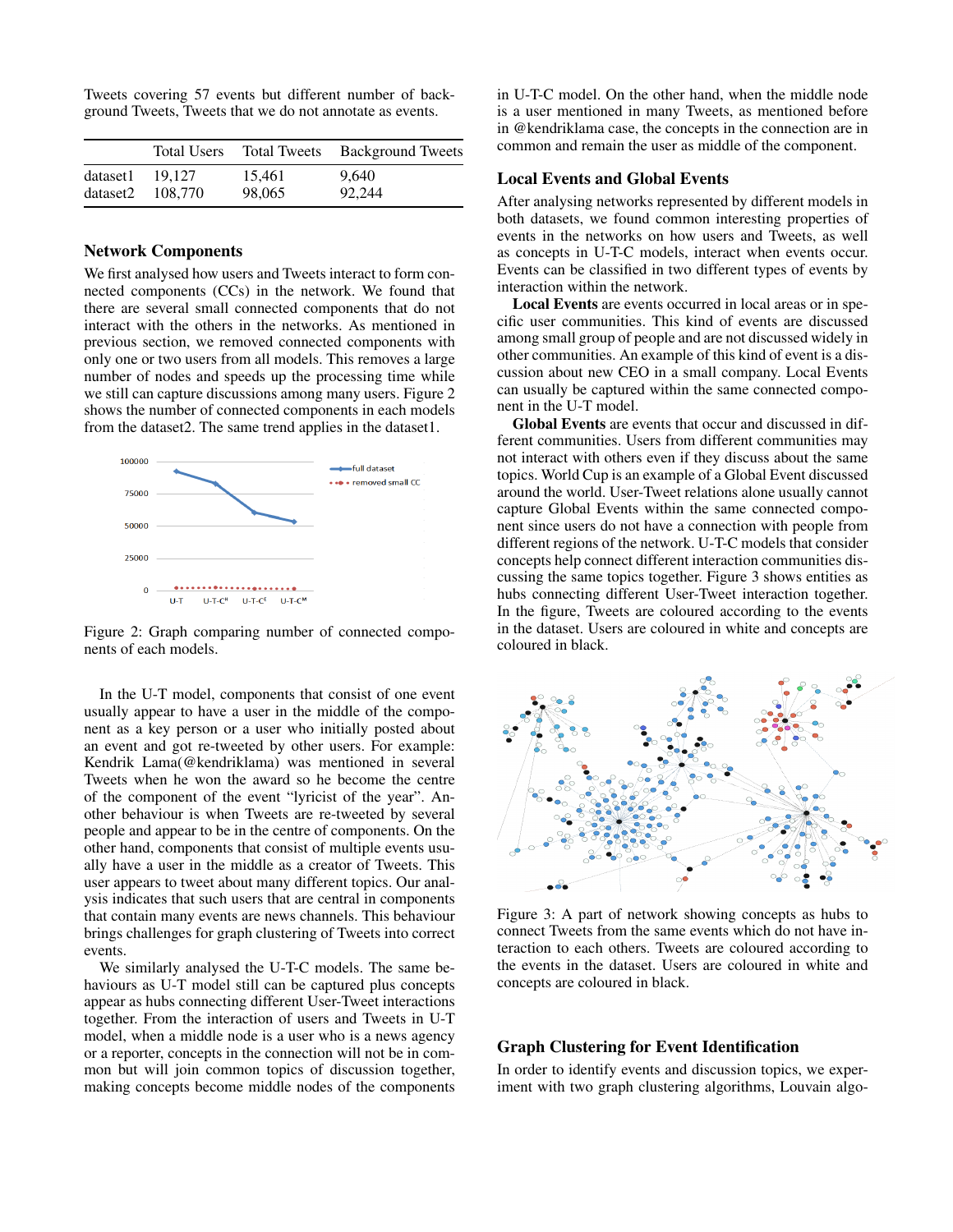Tweets covering 57 events but different number of background Tweets, Tweets that we do not annotate as events.

|          | <b>Total Users</b> | <b>Total Tweets</b> | <b>Background Tweets</b> |
|----------|--------------------|---------------------|--------------------------|
| dataset1 | 19.127             | 15.461              | 9.640                    |
|          | dataset2 108,770   | 98,065              | 92.244                   |

# Network Components

We first analysed how users and Tweets interact to form connected components (CCs) in the network. We found that there are several small connected components that do not interact with the others in the networks. As mentioned in previous section, we removed connected components with only one or two users from all models. This removes a large number of nodes and speeds up the processing time while we still can capture discussions among many users. Figure 2 shows the number of connected components in each models from the dataset2. The same trend applies in the dataset1.



Figure 2: Graph comparing number of connected components of each models.

In the U-T model, components that consist of one event usually appear to have a user in the middle of the component as a key person or a user who initially posted about an event and got re-tweeted by other users. For example: Kendrik Lama(@kendriklama) was mentioned in several Tweets when he won the award so he become the centre of the component of the event "lyricist of the year". Another behaviour is when Tweets are re-tweeted by several people and appear to be in the centre of components. On the other hand, components that consist of multiple events usually have a user in the middle as a creator of Tweets. This user appears to tweet about many different topics. Our analysis indicates that such users that are central in components that contain many events are news channels. This behaviour brings challenges for graph clustering of Tweets into correct events.

We similarly analysed the U-T-C models. The same behaviours as U-T model still can be captured plus concepts appear as hubs connecting different User-Tweet interactions together. From the interaction of users and Tweets in U-T model, when a middle node is a user who is a news agency or a reporter, concepts in the connection will not be in common but will join common topics of discussion together, making concepts become middle nodes of the components in U-T-C model. On the other hand, when the middle node is a user mentioned in many Tweets, as mentioned before in @kendriklama case, the concepts in the connection are in common and remain the user as middle of the component.

## Local Events and Global Events

After analysing networks represented by different models in both datasets, we found common interesting properties of events in the networks on how users and Tweets, as well as concepts in U-T-C models, interact when events occur. Events can be classified in two different types of events by interaction within the network.

Local Events are events occurred in local areas or in specific user communities. This kind of events are discussed among small group of people and are not discussed widely in other communities. An example of this kind of event is a discussion about new CEO in a small company. Local Events can usually be captured within the same connected component in the U-T model.

Global Events are events that occur and discussed in different communities. Users from different communities may not interact with others even if they discuss about the same topics. World Cup is an example of a Global Event discussed around the world. User-Tweet relations alone usually cannot capture Global Events within the same connected component since users do not have a connection with people from different regions of the network. U-T-C models that consider concepts help connect different interaction communities discussing the same topics together. Figure 3 shows entities as hubs connecting different User-Tweet interaction together. In the figure, Tweets are coloured according to the events in the dataset. Users are coloured in white and concepts are coloured in black.



Figure 3: A part of network showing concepts as hubs to connect Tweets from the same events which do not have interaction to each others. Tweets are coloured according to the events in the dataset. Users are coloured in white and concepts are coloured in black.

# Graph Clustering for Event Identification

In order to identify events and discussion topics, we experiment with two graph clustering algorithms, Louvain algo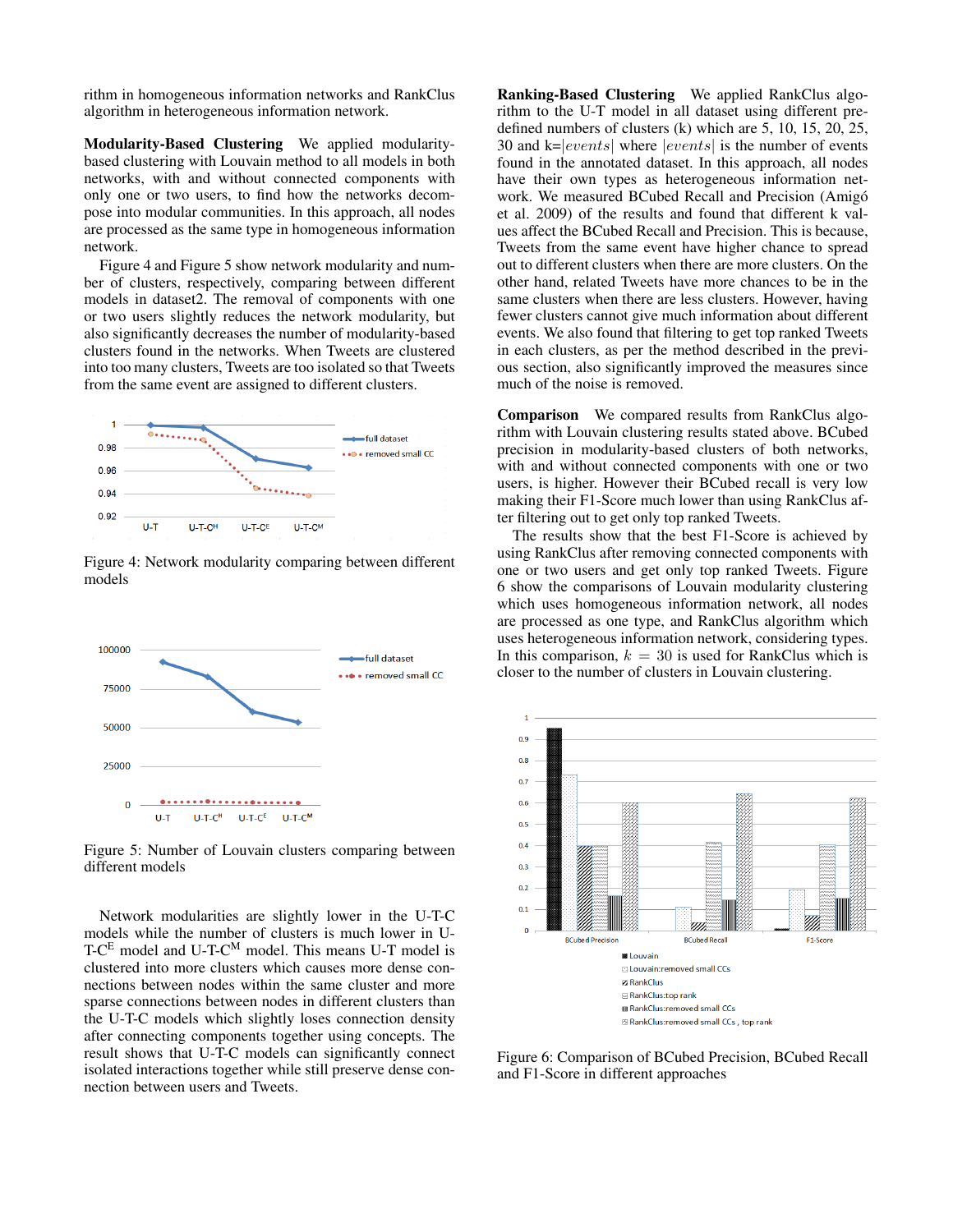rithm in homogeneous information networks and RankClus algorithm in heterogeneous information network.

Modularity-Based Clustering We applied modularitybased clustering with Louvain method to all models in both networks, with and without connected components with only one or two users, to find how the networks decompose into modular communities. In this approach, all nodes are processed as the same type in homogeneous information network.

Figure 4 and Figure 5 show network modularity and number of clusters, respectively, comparing between different models in dataset2. The removal of components with one or two users slightly reduces the network modularity, but also significantly decreases the number of modularity-based clusters found in the networks. When Tweets are clustered into too many clusters, Tweets are too isolated so that Tweets from the same event are assigned to different clusters.



Figure 4: Network modularity comparing between different models



Figure 5: Number of Louvain clusters comparing between different models

Network modularities are slightly lower in the U-T-C models while the number of clusters is much lower in U-T-C<sup>E</sup> model and U-T-C<sup>M</sup> model. This means U-T model is clustered into more clusters which causes more dense connections between nodes within the same cluster and more sparse connections between nodes in different clusters than the U-T-C models which slightly loses connection density after connecting components together using concepts. The result shows that U-T-C models can significantly connect isolated interactions together while still preserve dense connection between users and Tweets.

Ranking-Based Clustering We applied RankClus algorithm to the U-T model in all dataset using different predefined numbers of clusters (k) which are 5, 10, 15, 20, 25, 30 and  $k=|events|$  where  $|events|$  is the number of events found in the annotated dataset. In this approach, all nodes have their own types as heterogeneous information network. We measured BCubed Recall and Precision (Amigó et al. 2009) of the results and found that different k values affect the BCubed Recall and Precision. This is because, Tweets from the same event have higher chance to spread out to different clusters when there are more clusters. On the other hand, related Tweets have more chances to be in the same clusters when there are less clusters. However, having fewer clusters cannot give much information about different events. We also found that filtering to get top ranked Tweets in each clusters, as per the method described in the previous section, also significantly improved the measures since much of the noise is removed.

Comparison We compared results from RankClus algorithm with Louvain clustering results stated above. BCubed precision in modularity-based clusters of both networks, with and without connected components with one or two users, is higher. However their BCubed recall is very low making their F1-Score much lower than using RankClus after filtering out to get only top ranked Tweets.

The results show that the best F1-Score is achieved by using RankClus after removing connected components with one or two users and get only top ranked Tweets. Figure 6 show the comparisons of Louvain modularity clustering which uses homogeneous information network, all nodes are processed as one type, and RankClus algorithm which uses heterogeneous information network, considering types. In this comparison,  $k = 30$  is used for RankClus which is closer to the number of clusters in Louvain clustering.



Figure 6: Comparison of BCubed Precision, BCubed Recall and F1-Score in different approaches